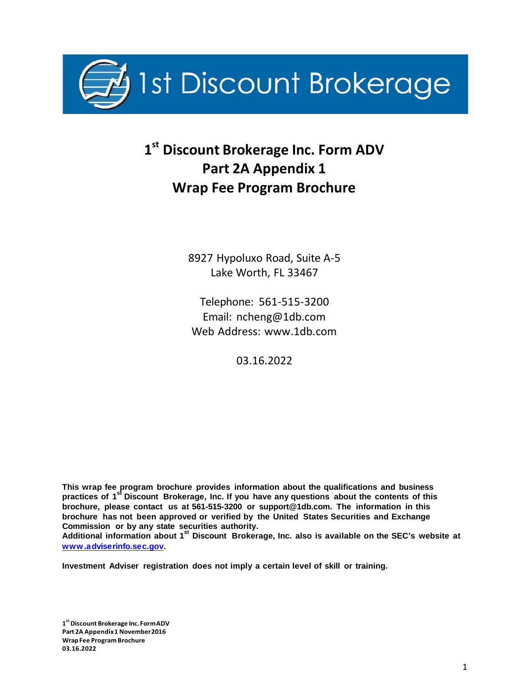

# **1st Discount Brokerage Inc. Form ADV Part 2A Appendix 1 Wrap Fee Program Brochure**

8927 Hypoluxo Road, Suite A-5 Lake Worth, FL 33467

Telephone: 561-515-3200 Email: [ncheng@1db.com](mailto:ncheng@1db.com) Web Address: [www.1db.com](http://www.1db.com/)

03.16.2022

**This wrap fee program brochure provides information about the qualifications and business practices of 1 st Discount Brokerage, Inc. If you have any questions about the contents of this brochure, please contact us at 561-515-3200 or [support@1db.com.](mailto:support@1db.com) The information in this brochure has not been approved or verified by the United States Securities and Exchange Commission or by any state securities authority.**

**Additional information about 1 st Discount Brokerage, Inc. also is available on the SEC's website at www.adviserinfo.sec.gov.**

**Investment Adviser registration does not imply a certain level of skill or training.**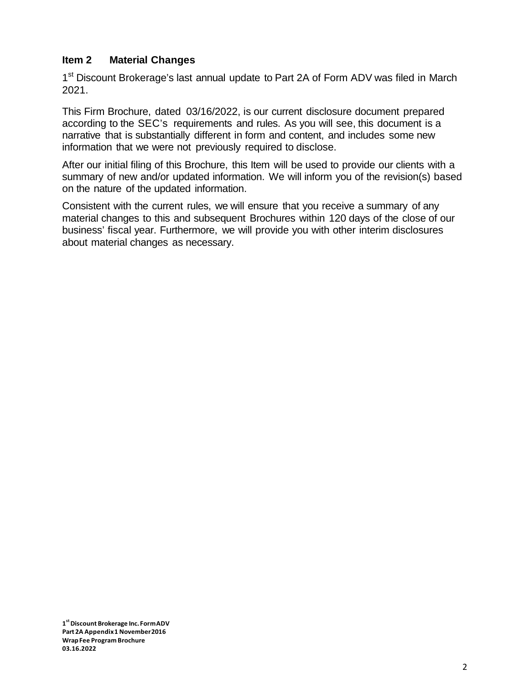# **Item 2 Material Changes**

1<sup>st</sup> Discount Brokerage's last annual update to Part 2A of Form ADV was filed in March 2021.

This Firm Brochure, dated 03/16/2022, is our current disclosure document prepared according to the SEC's requirements and rules. As you will see, this document is a narrative that is substantially different in form and content, and includes some new information that we were not previously required to disclose.

After our initial filing of this Brochure, this Item will be used to provide our clients with a summary of new and/or updated information. We will inform you of the revision(s) based on the nature of the updated information.

Consistent with the current rules, we will ensure that you receive a summary of any material changes to this and subsequent Brochures within 120 days of the close of our business' fiscal year. Furthermore, we will provide you with other interim disclosures about material changes as necessary.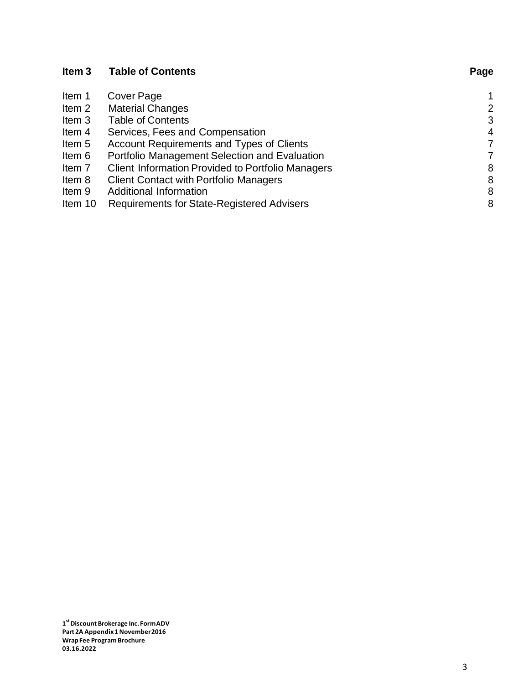| Item <sub>3</sub> | <b>Table of Contents</b>                                 | Page           |
|-------------------|----------------------------------------------------------|----------------|
| Item 1            | Cover Page                                               |                |
| Item 2            | <b>Material Changes</b>                                  | 2              |
| Item 3            | <b>Table of Contents</b>                                 | 3              |
| Item 4            | Services, Fees and Compensation                          | $\overline{4}$ |
| Item 5            | Account Requirements and Types of Clients                | 7              |
| Item 6            | Portfolio Management Selection and Evaluation            | 7              |
| Item 7            | <b>Client Information Provided to Portfolio Managers</b> | 8              |
| Item 8            | <b>Client Contact with Portfolio Managers</b>            | 8              |
| Item 9            | Additional Information                                   | 8              |
| Item 10           | <b>Requirements for State-Registered Advisers</b>        | 8              |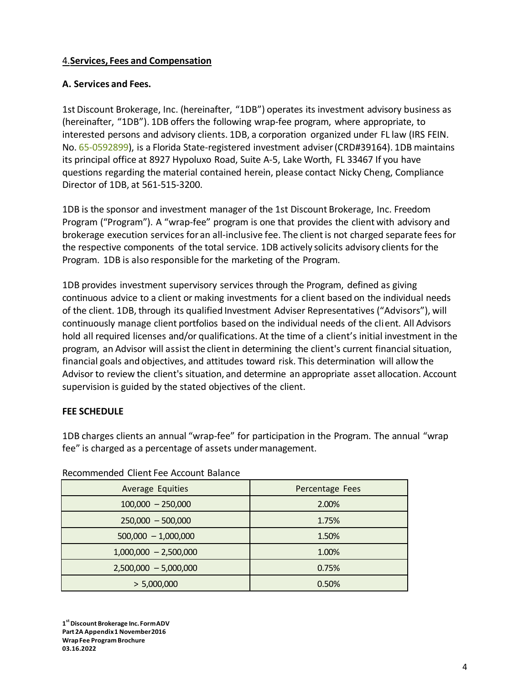# 4.**Services, Fees and Compensation**

#### **A. Services and Fees.**

1st Discount Brokerage, Inc. (hereinafter, "1DB") operates its investment advisory business as (hereinafter, "1DB"). 1DB offers the following wrap-fee program, where appropriate, to interested persons and advisory clients. 1DB, a corporation organized under FL law (IRS FEIN. No. 65-0592899), is a Florida State-registered investment adviser(CRD#39164). 1DB maintains its principal office at 8927 Hypoluxo Road, Suite A-5, Lake Worth, FL 33467 If you have questions regarding the material contained herein, please contact Nicky Cheng, Compliance Director of 1DB, at 561-515-3200.

1DB is the sponsor and investment manager of the 1st Discount Brokerage, Inc. Freedom Program ("Program"). A "wrap-fee" program is one that provides the client with advisory and brokerage execution services for an all-inclusive fee. The clientis not charged separate fees for the respective components of the total service. 1DB actively solicits advisory clients for the Program. 1DB is also responsible for the marketing of the Program.

1DB provides investment supervisory services through the Program, defined as giving continuous advice to a client or making investments for a client based on the individual needs of the client. 1DB, through its qualified Investment Adviser Representatives ("Advisors"), will continuously manage client portfolios based on the individual needs of the client. All Advisors hold all required licenses and/or qualifications. At the time of a client's initial investment in the program, an Advisor will assist the clientin determining the client's current financial situation, financial goals and objectives, and attitudes toward risk. This determination will allow the Advisor to review the client's situation, and determine an appropriate asset allocation. Account supervision is guided by the stated objectives of the client.

#### **FEE SCHEDULE**

1DB charges clients an annual "wrap-fee" for participation in the Program. The annual "wrap fee" is charged as a percentage of assets undermanagement.

| <b>Average Equities</b> | Percentage Fees |  |
|-------------------------|-----------------|--|
| $100,000 - 250,000$     | 2.00%           |  |
| $250,000 - 500,000$     | 1.75%           |  |
| $500,000 - 1,000,000$   | 1.50%           |  |
| $1,000,000 - 2,500,000$ | 1.00%           |  |
| $2,500,000 - 5,000,000$ | 0.75%           |  |
| > 5,000,000             | 0.50%           |  |

#### Recommended Client Fee Account Balance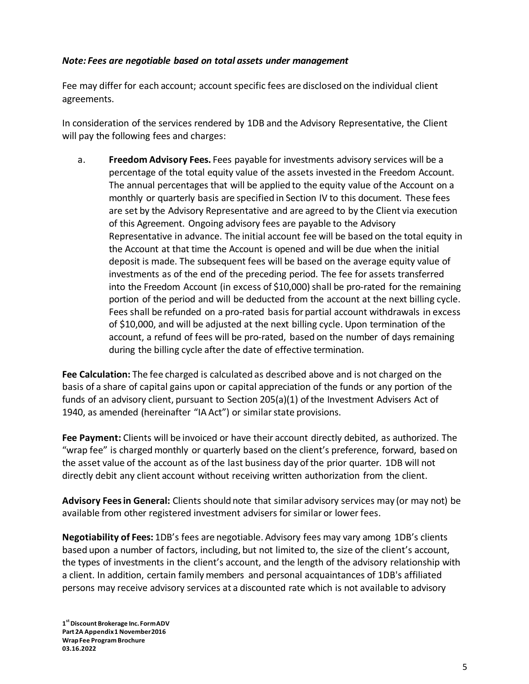#### *Note: Fees are negotiable based on total assets under management*

Fee may differ for each account; account specific fees are disclosed on the individual client agreements.

In consideration of the services rendered by 1DB and the Advisory Representative, the Client will pay the following fees and charges:

a. **Freedom Advisory Fees.** Fees payable for investments advisory services will be a percentage of the total equity value of the assets invested in the Freedom Account. The annual percentages that will be applied to the equity value of the Account on a monthly or quarterly basis are specified in Section IV to this document. These fees are set by the Advisory Representative and are agreed to by the Client via execution of this Agreement. Ongoing advisory fees are payable to the Advisory Representative in advance. The initial account fee will be based on the total equity in the Account at that time the Account is opened and will be due when the initial deposit is made. The subsequent fees will be based on the average equity value of investments as of the end of the preceding period. The fee for assets transferred into the Freedom Account (in excess of  $$10,000$ ) shall be pro-rated for the remaining portion of the period and will be deducted from the account at the next billing cycle. Fees shall be refunded on a pro-rated basis forpartial account withdrawals in excess of \$10,000, and will be adjusted at the next billing cycle. Upon termination of the account, a refund of fees will be pro-rated, based on the number of days remaining during the billing cycle after the date of effective termination.

**Fee Calculation:** The fee charged is calculated as described above and is not charged on the basis of a share of capital gains upon or capital appreciation of the funds or any portion of the funds of an advisory client, pursuant to Section 205(a)(1) of the Investment Advisers Act of 1940, as amended (hereinafter "IA Act") or similar state provisions.

**Fee Payment:** Clients will be invoiced or have their account directly debited, as authorized. The "wrap fee" is charged monthly or quarterly based on the client's preference, forward, based on the asset value of the account as of the last business day of the prior quarter. 1DB will not directly debit any client account without receiving written authorization from the client.

**Advisory Feesin General:** Clients should note that similar advisory services may (or may not) be available from other registered investment advisers for similar or lower fees.

**Negotiability of Fees:** 1DB's fees are negotiable. Advisory fees may vary among 1DB's clients based upon a number of factors, including, but not limited to, the size of the client's account, the types of investments in the client's account, and the length of the advisory relationship with a client. In addition, certain family members and personal acquaintances of 1DB's affiliated persons may receive advisory services at a discounted rate which is not available to advisory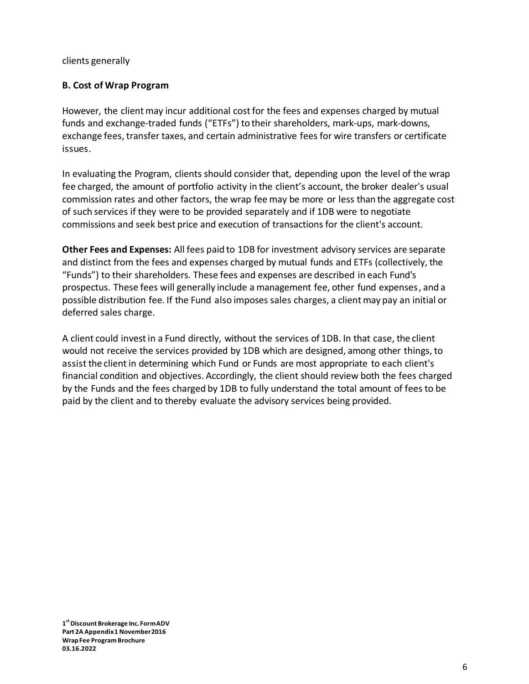clients generally

# **B. Cost of Wrap Program**

However, the client may incur additional cost for the fees and expenses charged by mutual funds and exchange-traded funds ("ETFs") to their shareholders, mark-ups, mark-downs, exchange fees, transfer taxes, and certain administrative fees for wire transfers or certificate issues.

In evaluating the Program, clients should consider that, depending upon the level of the wrap fee charged, the amount of portfolio activity in the client's account, the broker dealer's usual commission rates and other factors, the wrap fee may be more or less than the aggregate cost of such services if they were to be provided separately and if 1DB were to negotiate commissions and seek best price and execution of transactions for the client's account.

**Other Fees and Expenses:** All fees paid to 1DB for investment advisory services are separate and distinct from the fees and expenses charged by mutual funds and ETFs (collectively, the "Funds") to their shareholders. These fees and expenses are described in each Fund's prospectus. These fees will generally include a management fee, other fund expenses, and a possible distribution fee. If the Fund also imposes sales charges, a client may pay an initial or deferred sales charge.

A client could investin a Fund directly, without the services of 1DB. In that case, the client would not receive the services provided by 1DB which are designed, among other things, to assist the client in determining which Fund or Funds are most appropriate to each client's financial condition and objectives. Accordingly, the client should review both the fees charged by the Funds and the fees charged by 1DB to fully understand the total amount of fees to be paid by the client and to thereby evaluate the advisory services being provided.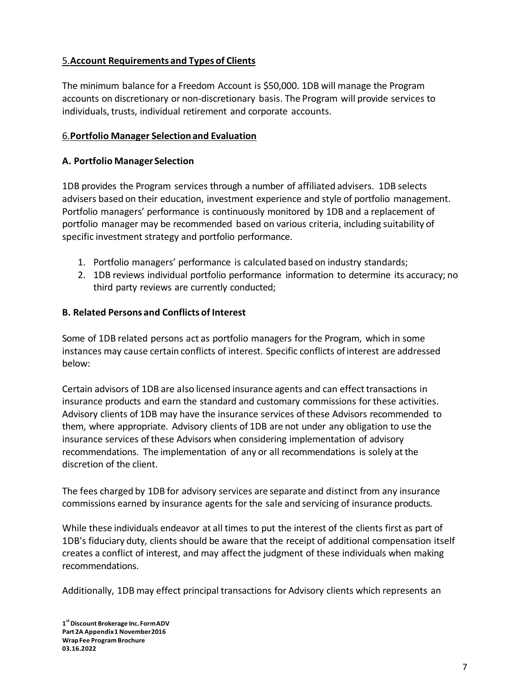# 5.**Account Requirements and Types of Clients**

The minimum balance for a Freedom Account is \$50,000. 1DB will manage the Program accounts on discretionary or non-discretionary basis. The Program will provide services to individuals, trusts, individual retirement and corporate accounts.

### 6.**Portfolio Manager Selectionand Evaluation**

### **A. Portfolio Manager Selection**

1DB provides the Program services through a number of affiliated advisers. 1DB selects advisers based on their education, investment experience and style of portfolio management. Portfolio managers' performance is continuously monitored by 1DB and a replacement of portfolio manager may be recommended based on various criteria, including suitability of specific investment strategy and portfolio performance.

- 1. Portfolio managers' performance is calculated based on industry standards;
- 2. 1DB reviews individual portfolio performance information to determine its accuracy; no third party reviews are currently conducted;

#### **B. Related Persons and Conflicts of Interest**

Some of 1DB related persons act as portfolio managers for the Program, which in some instances may cause certain conflicts of interest. Specific conflicts of interest are addressed below:

Certain advisors of 1DB are also licensed insurance agents and can effect transactions in insurance products and earn the standard and customary commissions for these activities. Advisory clients of 1DB may have the insurance services ofthese Advisors recommended to them, where appropriate. Advisory clients of 1DB are not under any obligation to use the insurance services ofthese Advisors when considering implementation of advisory recommendations. The implementation of any or all recommendations is solely atthe discretion of the client.

The fees charged by 1DB for advisory services are separate and distinct from any insurance commissions earned by insurance agents for the sale and servicing of insurance products.

While these individuals endeavor at all times to put the interest of the clients first as part of 1DB's fiduciary duty, clients should be aware that the receipt of additional compensation itself creates a conflict of interest, and may affectthe judgment of these individuals when making recommendations.

Additionally, 1DB may effect principal transactions for Advisory clients which represents an